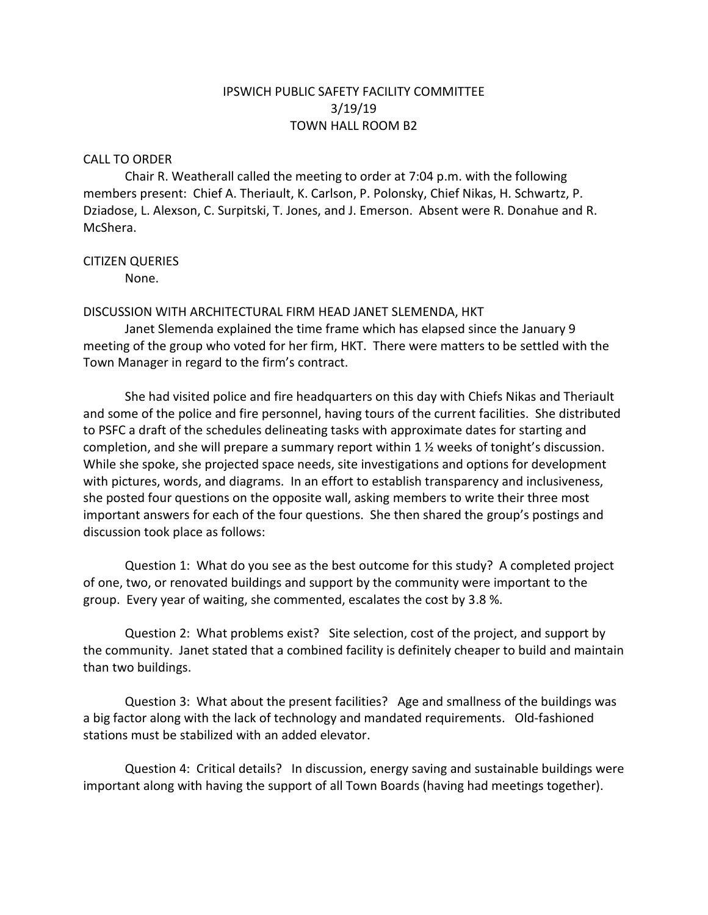# IPSWICH PUBLIC SAFETY FACILITY COMMITTEE 3/19/19 TOWN HALL ROOM B2

### CALL TO ORDER

Chair R. Weatherall called the meeting to order at 7:04 p.m. with the following members present: Chief A. Theriault, K. Carlson, P. Polonsky, Chief Nikas, H. Schwartz, P. Dziadose, L. Alexson, C. Surpitski, T. Jones, and J. Emerson. Absent were R. Donahue and R. McShera.

## CITIZEN QUERIES

None.

## DISCUSSION WITH ARCHITECTURAL FIRM HEAD JANET SLEMENDA, HKT

Janet Slemenda explained the time frame which has elapsed since the January 9 meeting of the group who voted for her firm, HKT. There were matters to be settled with the Town Manager in regard to the firm's contract.

She had visited police and fire headquarters on this day with Chiefs Nikas and Theriault and some of the police and fire personnel, having tours of the current facilities. She distributed to PSFC a draft of the schedules delineating tasks with approximate dates for starting and completion, and she will prepare a summary report within 1 ½ weeks of tonight's discussion. While she spoke, she projected space needs, site investigations and options for development with pictures, words, and diagrams. In an effort to establish transparency and inclusiveness, she posted four questions on the opposite wall, asking members to write their three most important answers for each of the four questions. She then shared the group's postings and discussion took place as follows:

Question 1: What do you see as the best outcome for this study? A completed project of one, two, or renovated buildings and support by the community were important to the group. Every year of waiting, she commented, escalates the cost by 3.8 %.

Question 2: What problems exist? Site selection, cost of the project, and support by the community. Janet stated that a combined facility is definitely cheaper to build and maintain than two buildings.

Question 3: What about the present facilities? Age and smallness of the buildings was a big factor along with the lack of technology and mandated requirements. Old-fashioned stations must be stabilized with an added elevator.

Question 4: Critical details? In discussion, energy saving and sustainable buildings were important along with having the support of all Town Boards (having had meetings together).